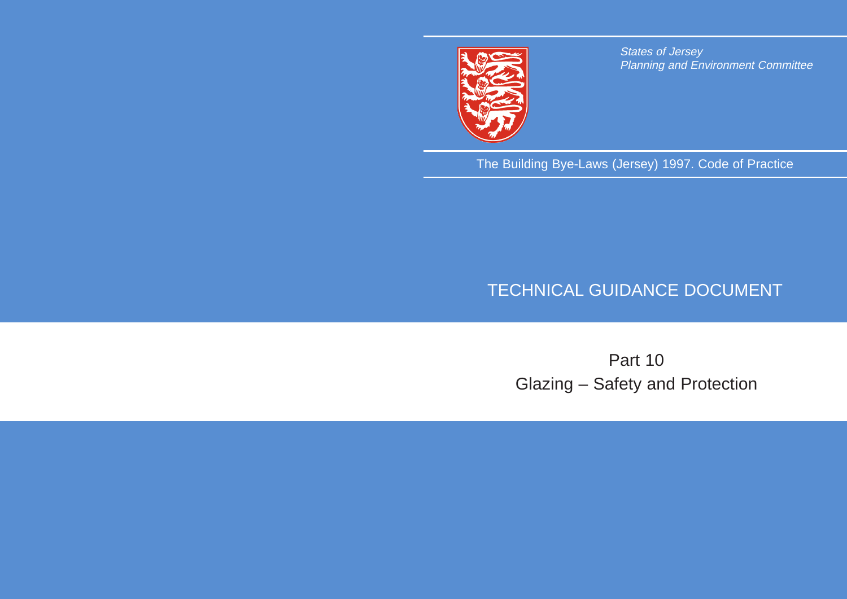

States of Jersey Planning and Environment Committee

The Building Bye-Laws (Jersey) 1997. Code of Practice

## TECHNICAL GUIDANCE DOCUMENT

# Part 10 Glazing – Safety and Protection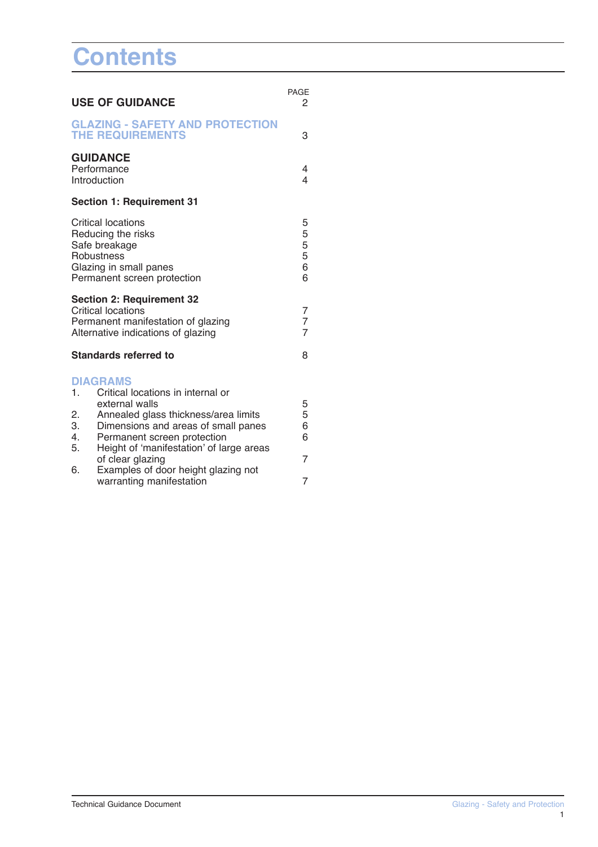# **Contents**

| <b>USE OF GUIDANCE</b>                                                                                                                  |                                                                                                                                           | <b>PAGE</b><br>2 |
|-----------------------------------------------------------------------------------------------------------------------------------------|-------------------------------------------------------------------------------------------------------------------------------------------|------------------|
|                                                                                                                                         | <b>GLAZING - SAFETY AND PROTECTION</b><br><b>THE REQUIREMENTS</b>                                                                         | 3                |
| <b>GUIDANCE</b><br>Performance<br>Introduction                                                                                          | 4<br>$\overline{\mathcal{L}}$                                                                                                             |                  |
|                                                                                                                                         | <b>Section 1: Requirement 31</b>                                                                                                          |                  |
| <b>Critical locations</b><br>Reducing the risks<br>Safe breakage<br>Robustness<br>Glazing in small panes<br>Permanent screen protection |                                                                                                                                           |                  |
|                                                                                                                                         | <b>Section 2: Requirement 32</b><br><b>Critical locations</b><br>Permanent manifestation of glazing<br>Alternative indications of glazing |                  |
|                                                                                                                                         | <b>Standards referred to</b>                                                                                                              | 8                |
| $\mathbf{1}$ .                                                                                                                          | <b>DIAGRAMS</b><br>Critical locations in internal or                                                                                      |                  |
| 2.<br>3.                                                                                                                                | external walls<br>Annealed glass thickness/area limits<br>Dimensions and areas of small panes                                             | 5<br>5<br>6<br>6 |
| 4.<br>5.                                                                                                                                | Permanent screen protection<br>Height of 'manifestation' of large areas<br>of clear glazing                                               | $\overline{7}$   |
| 6.                                                                                                                                      | Examples of door height glazing not<br>warranting manifestation                                                                           | $\overline{7}$   |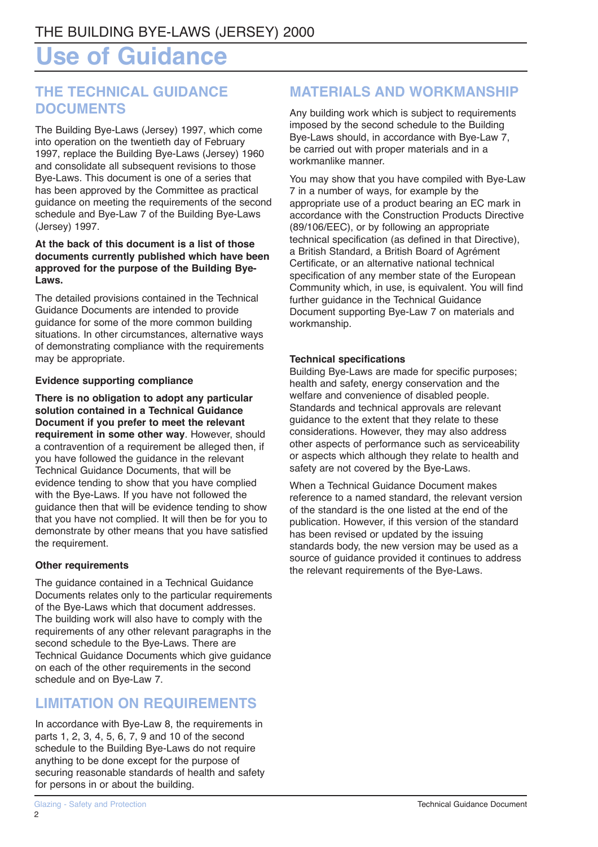## **Use of Guidance**

## **THE TECHNICAL GUIDANCE DOCUMENTS**

The Building Bye-Laws (Jersey) 1997, which come into operation on the twentieth day of February 1997, replace the Building Bye-Laws (Jersey) 1960 and consolidate all subsequent revisions to those Bye-Laws. This document is one of a series that has been approved by the Committee as practical guidance on meeting the requirements of the second schedule and Bye-Law 7 of the Building Bye-Laws (Jersey) 1997.

### **At the back of this document is a list of those documents currently published which have been approved for the purpose of the Building Bye-Laws.**

The detailed provisions contained in the Technical Guidance Documents are intended to provide guidance for some of the more common building situations. In other circumstances, alternative ways of demonstrating compliance with the requirements may be appropriate.

## **Evidence supporting compliance**

**There is no obligation to adopt any particular solution contained in a Technical Guidance Document if you prefer to meet the relevant requirement in some other way**. However, should a contravention of a requirement be alleged then, if you have followed the guidance in the relevant Technical Guidance Documents, that will be evidence tending to show that you have complied with the Bye-Laws. If you have not followed the guidance then that will be evidence tending to show that you have not complied. It will then be for you to demonstrate by other means that you have satisfied the requirement.

## **Other requirements**

The guidance contained in a Technical Guidance Documents relates only to the particular requirements of the Bye-Laws which that document addresses. The building work will also have to comply with the requirements of any other relevant paragraphs in the second schedule to the Bye-Laws. There are Technical Guidance Documents which give guidance on each of the other requirements in the second schedule and on Bye-Law 7.

## **LIMITATION ON REQUIREMENTS**

In accordance with Bye-Law 8, the requirements in parts 1, 2, 3, 4, 5, 6, 7, 9 and 10 of the second schedule to the Building Bye-Laws do not require anything to be done except for the purpose of securing reasonable standards of health and safety for persons in or about the building.

## **MATERIALS AND WORKMANSHIP**

Any building work which is subject to requirements imposed by the second schedule to the Building Bye-Laws should, in accordance with Bye-Law 7, be carried out with proper materials and in a workmanlike manner.

You may show that you have compiled with Bye-Law 7 in a number of ways, for example by the appropriate use of a product bearing an EC mark in accordance with the Construction Products Directive (89/106/EEC), or by following an appropriate technical specification (as defined in that Directive), a British Standard, a British Board of Agrément Certificate, or an alternative national technical specification of any member state of the European Community which, in use, is equivalent. You will find further guidance in the Technical Guidance Document supporting Bye-Law 7 on materials and workmanship.

## **Technical specifications**

Building Bye-Laws are made for specific purposes; health and safety, energy conservation and the welfare and convenience of disabled people. Standards and technical approvals are relevant guidance to the extent that they relate to these considerations. However, they may also address other aspects of performance such as serviceability or aspects which although they relate to health and safety are not covered by the Bye-Laws.

When a Technical Guidance Document makes reference to a named standard, the relevant version of the standard is the one listed at the end of the publication. However, if this version of the standard has been revised or updated by the issuing standards body, the new version may be used as a source of guidance provided it continues to address the relevant requirements of the Bye-Laws.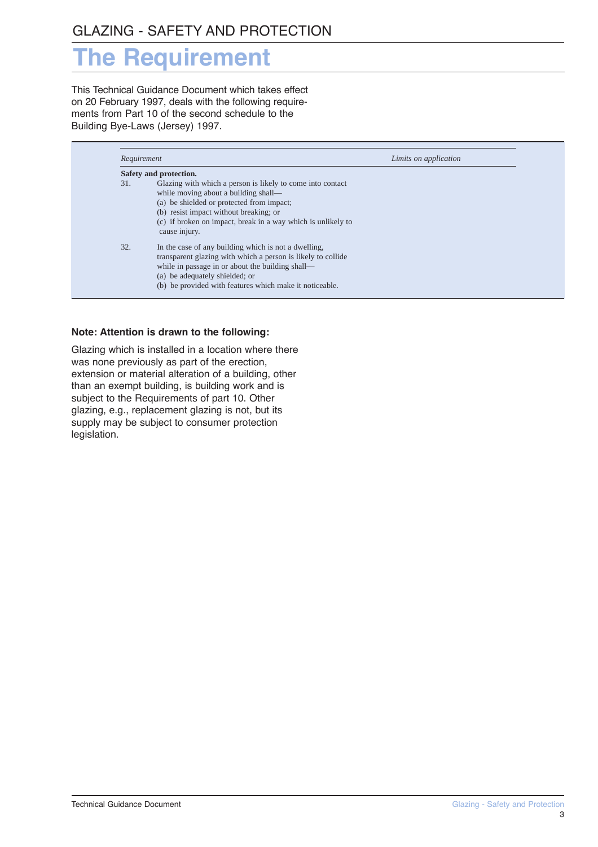## **The Requirement**

This Technical Guidance Document which takes effect on 20 February 1997, deals with the following requirements from Part 10 of the second schedule to the Building Bye-Laws (Jersey) 1997.

| Requirement            |                                                                                                                                                                                                                                                                            | Limits on application |  |
|------------------------|----------------------------------------------------------------------------------------------------------------------------------------------------------------------------------------------------------------------------------------------------------------------------|-----------------------|--|
| Safety and protection. |                                                                                                                                                                                                                                                                            |                       |  |
| 31.                    | Glazing with which a person is likely to come into contact<br>while moving about a building shall—<br>(a) be shielded or protected from impact;<br>(b) resist impact without breaking; or<br>(c) if broken on impact, break in a way which is unlikely to<br>cause injury. |                       |  |
| 32.                    | In the case of any building which is not a dwelling,<br>transparent glazing with which a person is likely to collide<br>while in passage in or about the building shall—<br>(a) be adequately shielded; or<br>(b) be provided with features which make it noticeable.      |                       |  |

#### **Note: Attention is drawn to the following:**

Glazing which is installed in a location where there was none previously as part of the erection, extension or material alteration of a building, other than an exempt building, is building work and is subject to the Requirements of part 10. Other glazing, e.g., replacement glazing is not, but its supply may be subject to consumer protection legislation.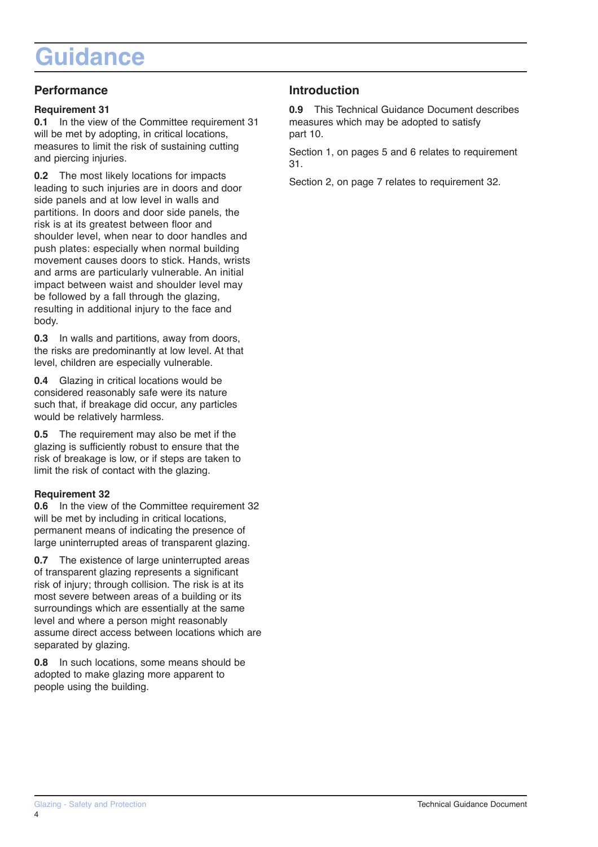## **Guidance**

## **Performance**

### **Requirement 31**

**0.1** In the view of the Committee requirement 31 will be met by adopting, in critical locations, measures to limit the risk of sustaining cutting and piercing injuries.

**0.2** The most likely locations for impacts leading to such injuries are in doors and door side panels and at low level in walls and partitions. In doors and door side panels, the risk is at its greatest between floor and shoulder level, when near to door handles and push plates: especially when normal building movement causes doors to stick. Hands, wrists and arms are particularly vulnerable. An initial impact between waist and shoulder level may be followed by a fall through the glazing, resulting in additional injury to the face and body.

**0.3** In walls and partitions, away from doors, the risks are predominantly at low level. At that level, children are especially vulnerable.

**0.4** Glazing in critical locations would be considered reasonably safe were its nature such that, if breakage did occur, any particles would be relatively harmless.

**0.5** The requirement may also be met if the glazing is sufficiently robust to ensure that the risk of breakage is low, or if steps are taken to limit the risk of contact with the glazing.

## **Requirement 32**

**0.6** In the view of the Committee requirement 32 will be met by including in critical locations, permanent means of indicating the presence of large uninterrupted areas of transparent glazing.

**0.7** The existence of large uninterrupted areas of transparent glazing represents a significant risk of injury; through collision. The risk is at its most severe between areas of a building or its surroundings which are essentially at the same level and where a person might reasonably assume direct access between locations which are separated by glazing.

**0.8** In such locations, some means should be adopted to make glazing more apparent to people using the building.

## **Introduction**

**0.9** This Technical Guidance Document describes measures which may be adopted to satisfy part 10.

Section 1, on pages 5 and 6 relates to requirement 31.

Section 2, on page 7 relates to requirement 32.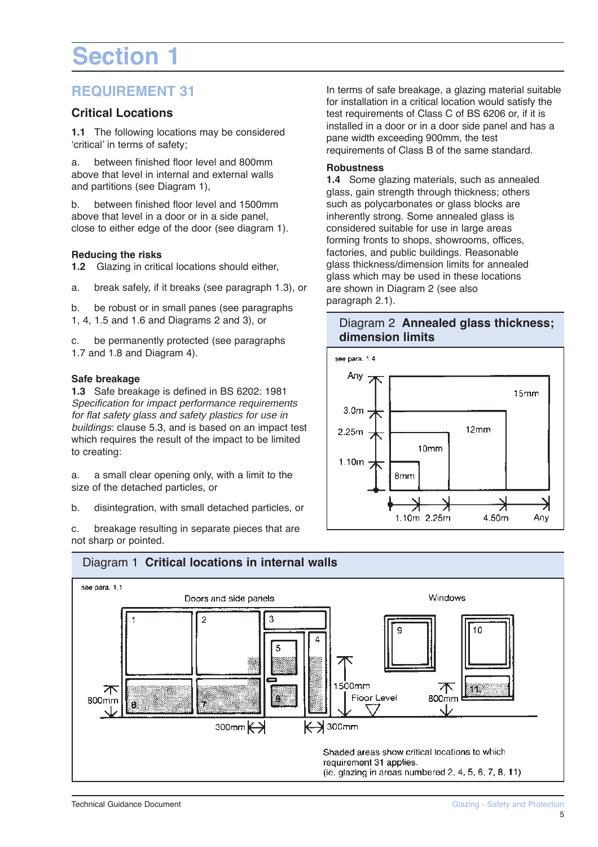# **Section 1**

## **REQUIREMENT 31**

## **Critical Locations**

**1.1** The following locations may be considered 'critical' in terms of safety;

a. between finished floor level and 800mm above that level in internal and external walls and partitions (see Diagram 1),

b. between finished floor level and 1500mm above that level in a door or in a side panel, close to either edge of the door (see diagram 1).

## **Reducing the risks**

**1.2** Glazing in critical locations should either,

a. break safely, if it breaks (see paragraph 1.3), or

b. be robust or in small panes (see paragraphs

1, 4, 1.5 and 1.6 and Diagrams 2 and 3), or

c. be permanently protected (see paragraphs 1.7 and 1.8 and Diagram 4).

### **Safe breakage**

**1.3** Safe breakage is defined in BS 6202: 1981 Specification for impact performance requirements for flat safety glass and safety plastics for use in buildings: clause 5.3, and is based on an impact test which requires the result of the impact to be limited to creating:

a. a small clear opening only, with a limit to the size of the detached particles, or

b. disintegration, with small detached particles, or

c. breakage resulting in separate pieces that are not sharp or pointed.

In terms of safe breakage, a glazing material suitable for installation in a critical location would satisfy the test requirements of Class C of BS 6206 or, if it is installed in a door or in a door side panel and has a pane width exceeding 900mm, the test requirements of Class B of the same standard.

#### **Robustness**

**1.4** Some glazing materials, such as annealed glass, gain strength through thickness; others such as polycarbonates or glass blocks are inherently strong. Some annealed glass is considered suitable for use in large areas forming fronts to shops, showrooms, offices, factories, and public buildings. Reasonable glass thickness/dimension limits for annealed glass which may be used in these locations are shown in Diagram 2 (see also paragraph 2.1).

## Diagram 2 **Annealed glass thickness; dimension limits**



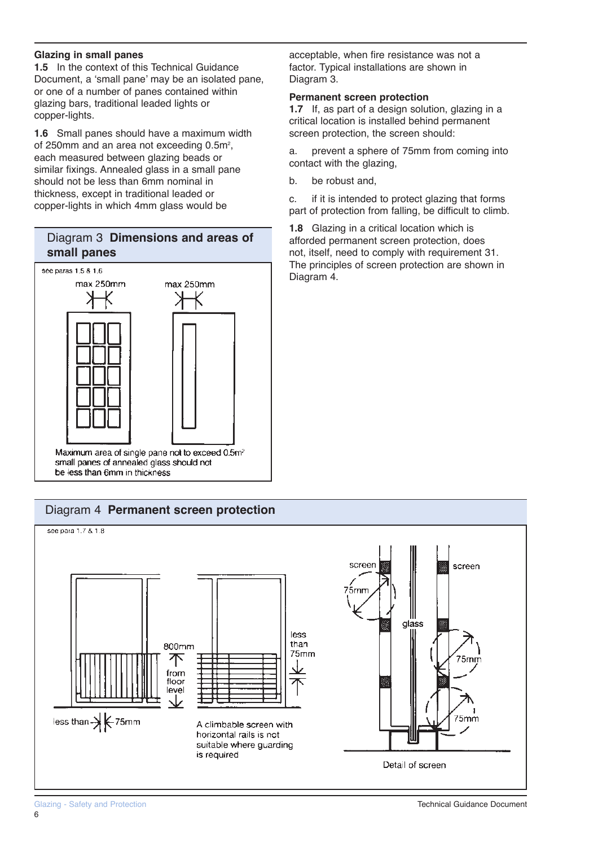### **Glazing in small panes**

**1.5** In the context of this Technical Guidance Document, a 'small pane' may be an isolated pane, or one of a number of panes contained within glazing bars, traditional leaded lights or copper-lights.

**1.6** Small panes should have a maximum width of 250mm and an area not exceeding  $0.5m^2$ , each measured between glazing beads or similar fixings. Annealed glass in a small pane should not be less than 6mm nominal in thickness, except in traditional leaded or copper-lights in which 4mm glass would be

## Diagram 3 **Dimensions and areas of small panes**



#### acceptable, when fire resistance was not a factor. Typical installations are shown in Diagram 3.

## **Permanent screen protection**

**1.7** If, as part of a design solution, glazing in a critical location is installed behind permanent screen protection, the screen should:

a. prevent a sphere of 75mm from coming into contact with the glazing,

b. be robust and,

c. if it is intended to protect glazing that forms part of protection from falling, be difficult to climb.

**1.8** Glazing in a critical location which is afforded permanent screen protection, does not, itself, need to comply with requirement 31. The principles of screen protection are shown in Diagram 4.

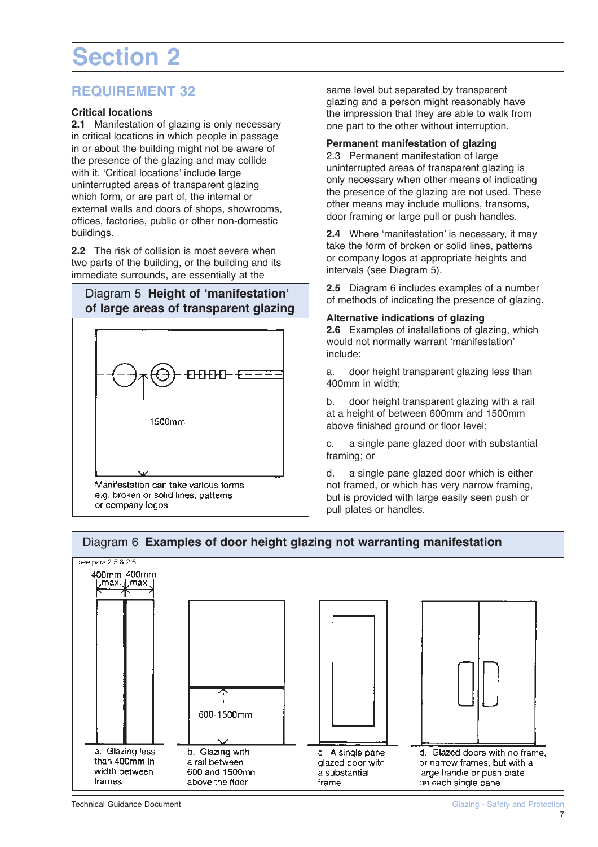# **Section 2**

## **REQUIREMENT 32**

### **Critical locations**

**2.1** Manifestation of glazing is only necessary in critical locations in which people in passage in or about the building might not be aware of the presence of the glazing and may collide with it. 'Critical locations' include large uninterrupted areas of transparent glazing which form, or are part of, the internal or external walls and doors of shops, showrooms, offices, factories, public or other non-domestic buildings.

**2.2** The risk of collision is most severe when two parts of the building, or the building and its immediate surrounds, are essentially at the

## Diagram 5 **Height of 'manifestation' of large areas of transparent glazing**



same level but separated by transparent glazing and a person might reasonably have the impression that they are able to walk from one part to the other without interruption.

#### **Permanent manifestation of glazing**

2.3 Permanent manifestation of large uninterrupted areas of transparent glazing is only necessary when other means of indicating the presence of the glazing are not used. These other means may include mullions, transoms, door framing or large pull or push handles.

**2.4** Where 'manifestation' is necessary, it may take the form of broken or solid lines, patterns or company logos at appropriate heights and intervals (see Diagram 5).

**2.5** Diagram 6 includes examples of a number of methods of indicating the presence of glazing.

**Alternative indications of glazing**

**2.6** Examples of installations of glazing, which would not normally warrant 'manifestation' include:

a. door height transparent glazing less than 400mm in width;

b. door height transparent glazing with a rail at a height of between 600mm and 1500mm above finished ground or floor level;

c. a single pane glazed door with substantial framing; or

d. a single pane glazed door which is either not framed, or which has very narrow framing, but is provided with large easily seen push or pull plates or handles.

## Diagram 6 **Examples of door height glazing not warranting manifestation**

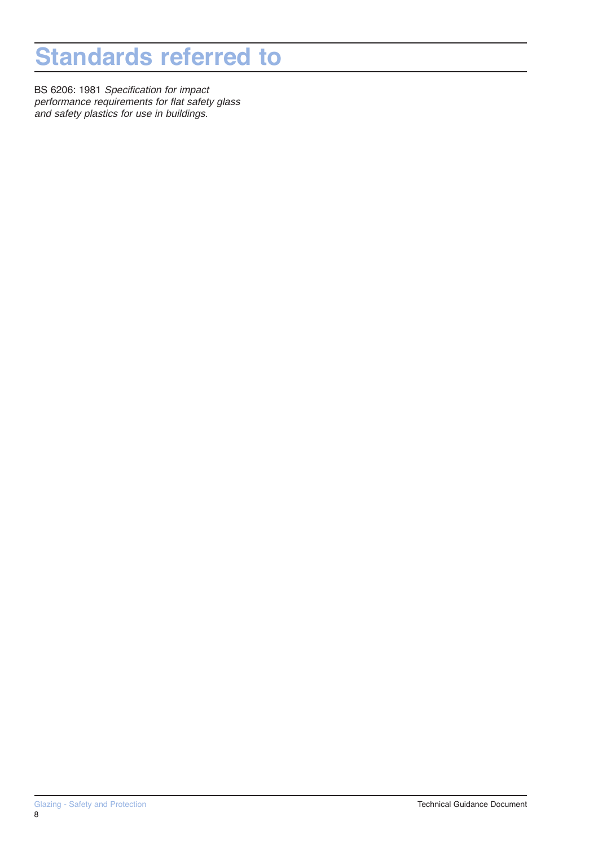## **Standards referred to**

BS 6206: 1981 Specification for impact performance requirements for flat safety glass and safety plastics for use in buildings.